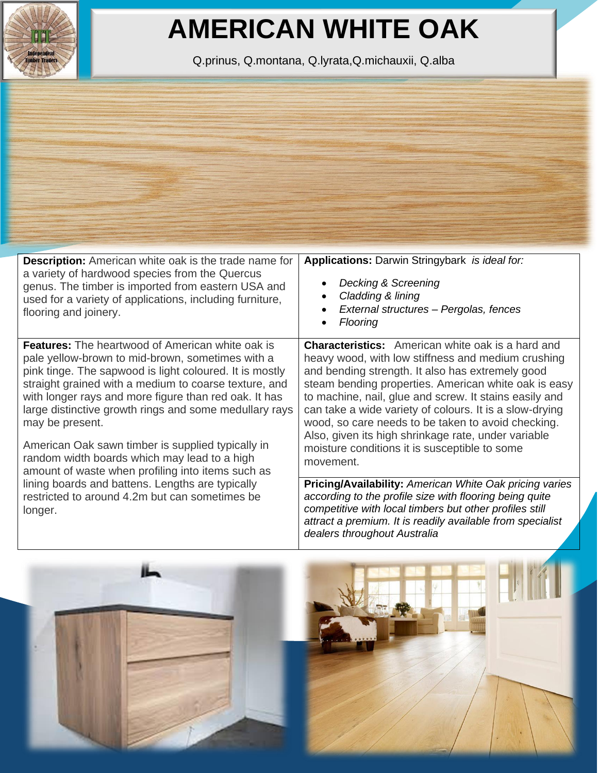

## **AMERICAN WHITE OAK**

Q.prinus, Q.montana, Q.lyrata,Q.michauxii, Q.alba



| <b>Description:</b> American white oak is the trade name for<br>a variety of hardwood species from the Quercus<br>genus. The timber is imported from eastern USA and<br>used for a variety of applications, including furniture,<br>flooring and joinery.                                                                                                                                                                                                                                                                                                                                                                                        | Applications: Darwin Stringybark is ideal for:<br>Decking & Screening<br>Cladding & lining<br>External structures - Pergolas, fences<br>Flooring                                                                                                                                                                                                                                                                                                                                                                           |  |  |
|--------------------------------------------------------------------------------------------------------------------------------------------------------------------------------------------------------------------------------------------------------------------------------------------------------------------------------------------------------------------------------------------------------------------------------------------------------------------------------------------------------------------------------------------------------------------------------------------------------------------------------------------------|----------------------------------------------------------------------------------------------------------------------------------------------------------------------------------------------------------------------------------------------------------------------------------------------------------------------------------------------------------------------------------------------------------------------------------------------------------------------------------------------------------------------------|--|--|
| <b>Features:</b> The heartwood of American white oak is<br>pale yellow-brown to mid-brown, sometimes with a<br>pink tinge. The sapwood is light coloured. It is mostly<br>straight grained with a medium to coarse texture, and<br>with longer rays and more figure than red oak. It has<br>large distinctive growth rings and some medullary rays<br>may be present.<br>American Oak sawn timber is supplied typically in<br>random width boards which may lead to a high<br>amount of waste when profiling into items such as<br>lining boards and battens. Lengths are typically<br>restricted to around 4.2m but can sometimes be<br>longer. | <b>Characteristics:</b> American white oak is a hard and<br>heavy wood, with low stiffness and medium crushing<br>and bending strength. It also has extremely good<br>steam bending properties. American white oak is easy<br>to machine, nail, glue and screw. It stains easily and<br>can take a wide variety of colours. It is a slow-drying<br>wood, so care needs to be taken to avoid checking.<br>Also, given its high shrinkage rate, under variable<br>moisture conditions it is susceptible to some<br>movement. |  |  |
|                                                                                                                                                                                                                                                                                                                                                                                                                                                                                                                                                                                                                                                  | <b>Pricing/Availability: American White Oak pricing varies</b><br>according to the profile size with flooring being quite<br>competitive with local timbers but other profiles still<br>attract a premium. It is readily available from specialist<br>dealers throughout Australia                                                                                                                                                                                                                                         |  |  |